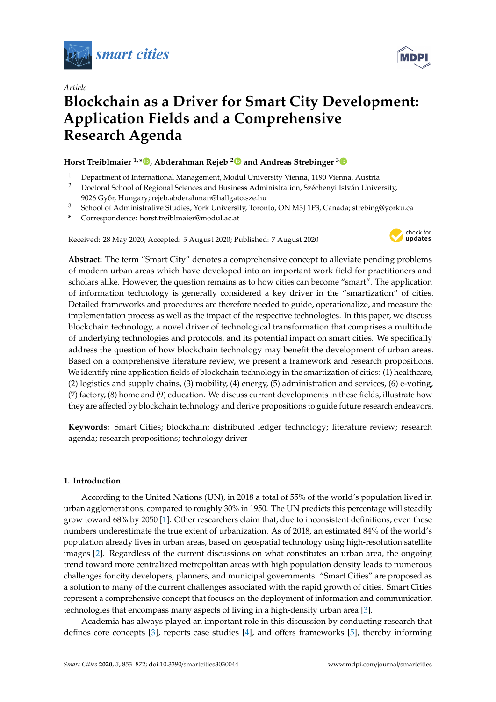

*Article*



# **Blockchain as a Driver for Smart City Development: Application Fields and a Comprehensive Research Agenda**

## **Horst Treiblmaier 1,[\\*](https://orcid.org/0000-0002-0755-5223) , Abderahman Rejeb [2](https://orcid.org/0000-0002-2817-5377) and Andreas Strebinger [3](https://orcid.org/0000-0003-3321-6337)**

- <sup>1</sup> Department of International Management, Modul University Vienna, 1190 Vienna, Austria
- <sup>2</sup> Doctoral School of Regional Sciences and Business Administration, Széchenyi István University, 9026 Győr, Hungary; rejeb.abderahman@hallgato.sze.hu
- <sup>3</sup> School of Administrative Studies, York University, Toronto, ON M3J 1P3, Canada; strebing@yorku.ca
- **\*** Correspondence: horst.treiblmaier@modul.ac.at

Received: 28 May 2020; Accepted: 5 August 2020; Published: 7 August 2020



**Abstract:** The term "Smart City" denotes a comprehensive concept to alleviate pending problems of modern urban areas which have developed into an important work field for practitioners and scholars alike. However, the question remains as to how cities can become "smart". The application of information technology is generally considered a key driver in the "smartization" of cities. Detailed frameworks and procedures are therefore needed to guide, operationalize, and measure the implementation process as well as the impact of the respective technologies. In this paper, we discuss blockchain technology, a novel driver of technological transformation that comprises a multitude of underlying technologies and protocols, and its potential impact on smart cities. We specifically address the question of how blockchain technology may benefit the development of urban areas. Based on a comprehensive literature review, we present a framework and research propositions. We identify nine application fields of blockchain technology in the smartization of cities: (1) healthcare, (2) logistics and supply chains, (3) mobility, (4) energy, (5) administration and services, (6) e-voting, (7) factory, (8) home and (9) education. We discuss current developments in these fields, illustrate how they are affected by blockchain technology and derive propositions to guide future research endeavors.

**Keywords:** Smart Cities; blockchain; distributed ledger technology; literature review; research agenda; research propositions; technology driver

## **1. Introduction**

According to the United Nations (UN), in 2018 a total of 55% of the world's population lived in urban agglomerations, compared to roughly 30% in 1950. The UN predicts this percentage will steadily grow toward 68% by 2050 [\[1\]](#page-14-0). Other researchers claim that, due to inconsistent definitions, even these numbers underestimate the true extent of urbanization. As of 2018, an estimated 84% of the world's population already lives in urban areas, based on geospatial technology using high-resolution satellite images [\[2\]](#page-14-1). Regardless of the current discussions on what constitutes an urban area, the ongoing trend toward more centralized metropolitan areas with high population density leads to numerous challenges for city developers, planners, and municipal governments. "Smart Cities" are proposed as a solution to many of the current challenges associated with the rapid growth of cities. Smart Cities represent a comprehensive concept that focuses on the deployment of information and communication technologies that encompass many aspects of living in a high-density urban area [\[3\]](#page-14-2).

Academia has always played an important role in this discussion by conducting research that defines core concepts [\[3\]](#page-14-2), reports case studies [\[4\]](#page-14-3), and offers frameworks [\[5\]](#page-14-4), thereby informing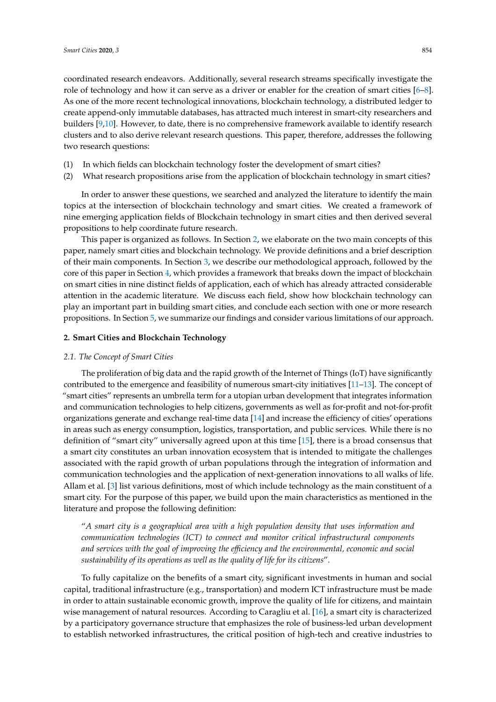coordinated research endeavors. Additionally, several research streams specifically investigate the role of technology and how it can serve as a driver or enabler for the creation of smart cities [\[6](#page-14-5)[–8\]](#page-14-6). As one of the more recent technological innovations, blockchain technology, a distributed ledger to create append-only immutable databases, has attracted much interest in smart-city researchers and builders [\[9](#page-14-7)[,10\]](#page-14-8). However, to date, there is no comprehensive framework available to identify research clusters and to also derive relevant research questions. This paper, therefore, addresses the following two research questions:

- (1) In which fields can blockchain technology foster the development of smart cities?
- (2) What research propositions arise from the application of blockchain technology in smart cities?

In order to answer these questions, we searched and analyzed the literature to identify the main topics at the intersection of blockchain technology and smart cities. We created a framework of nine emerging application fields of Blockchain technology in smart cities and then derived several propositions to help coordinate future research.

This paper is organized as follows. In Section [2,](#page-1-0) we elaborate on the two main concepts of this paper, namely smart cities and blockchain technology. We provide definitions and a brief description of their main components. In Section [3,](#page-3-0) we describe our methodological approach, followed by the core of this paper in Section [4,](#page-4-0) which provides a framework that breaks down the impact of blockchain on smart cities in nine distinct fields of application, each of which has already attracted considerable attention in the academic literature. We discuss each field, show how blockchain technology can play an important part in building smart cities, and conclude each section with one or more research propositions. In Section [5,](#page-12-0) we summarize our findings and consider various limitations of our approach.

## <span id="page-1-0"></span>**2. Smart Cities and Blockchain Technology**

## *2.1. The Concept of Smart Cities*

The proliferation of big data and the rapid growth of the Internet of Things (IoT) have significantly contributed to the emergence and feasibility of numerous smart-city initiatives [\[11](#page-14-9)[–13\]](#page-15-0). The concept of "smart cities" represents an umbrella term for a utopian urban development that integrates information and communication technologies to help citizens, governments as well as for-profit and not-for-profit organizations generate and exchange real-time data [\[14\]](#page-15-1) and increase the efficiency of cities' operations in areas such as energy consumption, logistics, transportation, and public services. While there is no definition of "smart city" universally agreed upon at this time [\[15\]](#page-15-2), there is a broad consensus that a smart city constitutes an urban innovation ecosystem that is intended to mitigate the challenges associated with the rapid growth of urban populations through the integration of information and communication technologies and the application of next-generation innovations to all walks of life. Allam et al. [\[3\]](#page-14-2) list various definitions, most of which include technology as the main constituent of a smart city. For the purpose of this paper, we build upon the main characteristics as mentioned in the literature and propose the following definition:

"*A smart city is a geographical area with a high population density that uses information and communication technologies (ICT) to connect and monitor critical infrastructural components and services with the goal of improving the e*ffi*ciency and the environmental, economic and social sustainability of its operations as well as the quality of life for its citizens*".

To fully capitalize on the benefits of a smart city, significant investments in human and social capital, traditional infrastructure (e.g., transportation) and modern ICT infrastructure must be made in order to attain sustainable economic growth, improve the quality of life for citizens, and maintain wise management of natural resources. According to Caragliu et al. [\[16\]](#page-15-3), a smart city is characterized by a participatory governance structure that emphasizes the role of business-led urban development to establish networked infrastructures, the critical position of high-tech and creative industries to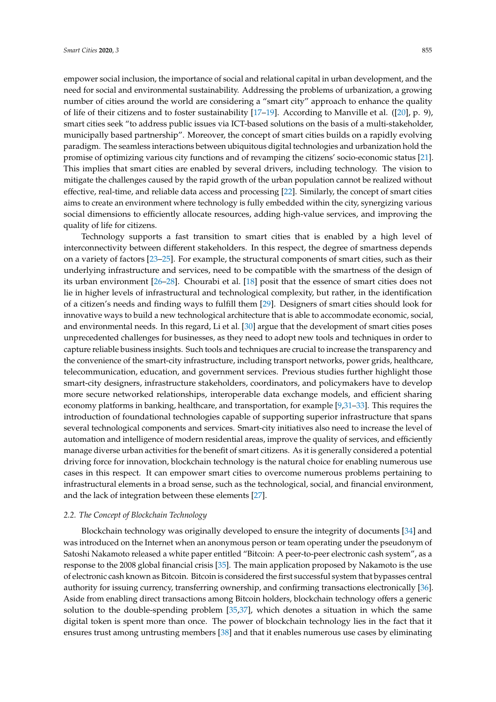empower social inclusion, the importance of social and relational capital in urban development, and the need for social and environmental sustainability. Addressing the problems of urbanization, a growing number of cities around the world are considering a "smart city" approach to enhance the quality of life of their citizens and to foster sustainability [\[17](#page-15-4)[–19\]](#page-15-5). According to Manville et al. ([\[20\]](#page-15-6), p. 9), smart cities seek "to address public issues via ICT-based solutions on the basis of a multi-stakeholder, municipally based partnership". Moreover, the concept of smart cities builds on a rapidly evolving paradigm. The seamless interactions between ubiquitous digital technologies and urbanization hold the promise of optimizing various city functions and of revamping the citizens' socio-economic status [\[21\]](#page-15-7). This implies that smart cities are enabled by several drivers, including technology. The vision to mitigate the challenges caused by the rapid growth of the urban population cannot be realized without effective, real-time, and reliable data access and processing [\[22\]](#page-15-8). Similarly, the concept of smart cities aims to create an environment where technology is fully embedded within the city, synergizing various social dimensions to efficiently allocate resources, adding high-value services, and improving the quality of life for citizens.

Technology supports a fast transition to smart cities that is enabled by a high level of interconnectivity between different stakeholders. In this respect, the degree of smartness depends on a variety of factors [\[23–](#page-15-9)[25\]](#page-15-10). For example, the structural components of smart cities, such as their underlying infrastructure and services, need to be compatible with the smartness of the design of its urban environment [\[26–](#page-15-11)[28\]](#page-15-12). Chourabi et al. [\[18\]](#page-15-13) posit that the essence of smart cities does not lie in higher levels of infrastructural and technological complexity, but rather, in the identification of a citizen's needs and finding ways to fulfill them [\[29\]](#page-15-14). Designers of smart cities should look for innovative ways to build a new technological architecture that is able to accommodate economic, social, and environmental needs. In this regard, Li et al. [\[30\]](#page-15-15) argue that the development of smart cities poses unprecedented challenges for businesses, as they need to adopt new tools and techniques in order to capture reliable business insights. Such tools and techniques are crucial to increase the transparency and the convenience of the smart-city infrastructure, including transport networks, power grids, healthcare, telecommunication, education, and government services. Previous studies further highlight those smart-city designers, infrastructure stakeholders, coordinators, and policymakers have to develop more secure networked relationships, interoperable data exchange models, and efficient sharing economy platforms in banking, healthcare, and transportation, for example [\[9](#page-14-7)[,31–](#page-15-16)[33\]](#page-15-17). This requires the introduction of foundational technologies capable of supporting superior infrastructure that spans several technological components and services. Smart-city initiatives also need to increase the level of automation and intelligence of modern residential areas, improve the quality of services, and efficiently manage diverse urban activities for the benefit of smart citizens. As it is generally considered a potential driving force for innovation, blockchain technology is the natural choice for enabling numerous use cases in this respect. It can empower smart cities to overcome numerous problems pertaining to infrastructural elements in a broad sense, such as the technological, social, and financial environment, and the lack of integration between these elements [\[27\]](#page-15-18).

## *2.2. The Concept of Blockchain Technology*

Blockchain technology was originally developed to ensure the integrity of documents [\[34\]](#page-15-19) and was introduced on the Internet when an anonymous person or team operating under the pseudonym of Satoshi Nakamoto released a white paper entitled "Bitcoin: A peer-to-peer electronic cash system", as a response to the 2008 global financial crisis [\[35\]](#page-15-20). The main application proposed by Nakamoto is the use of electronic cash known as Bitcoin. Bitcoin is considered the first successful system that bypasses central authority for issuing currency, transferring ownership, and confirming transactions electronically [\[36\]](#page-15-21). Aside from enabling direct transactions among Bitcoin holders, blockchain technology offers a generic solution to the double-spending problem [\[35,](#page-15-20)[37\]](#page-16-0), which denotes a situation in which the same digital token is spent more than once. The power of blockchain technology lies in the fact that it ensures trust among untrusting members [\[38\]](#page-16-1) and that it enables numerous use cases by eliminating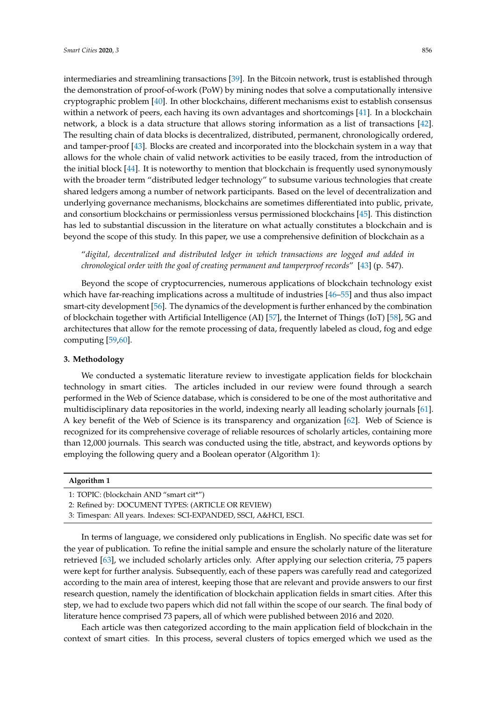intermediaries and streamlining transactions [\[39\]](#page-16-2). In the Bitcoin network, trust is established through the demonstration of proof-of-work (PoW) by mining nodes that solve a computationally intensive cryptographic problem [\[40\]](#page-16-3). In other blockchains, different mechanisms exist to establish consensus within a network of peers, each having its own advantages and shortcomings [\[41\]](#page-16-4). In a blockchain network, a block is a data structure that allows storing information as a list of transactions [\[42\]](#page-16-5). The resulting chain of data blocks is decentralized, distributed, permanent, chronologically ordered, and tamper-proof [\[43\]](#page-16-6). Blocks are created and incorporated into the blockchain system in a way that allows for the whole chain of valid network activities to be easily traced, from the introduction of the initial block [\[44\]](#page-16-7). It is noteworthy to mention that blockchain is frequently used synonymously with the broader term "distributed ledger technology" to subsume various technologies that create shared ledgers among a number of network participants. Based on the level of decentralization and underlying governance mechanisms, blockchains are sometimes differentiated into public, private, and consortium blockchains or permissionless versus permissioned blockchains [\[45\]](#page-16-8). This distinction has led to substantial discussion in the literature on what actually constitutes a blockchain and is beyond the scope of this study. In this paper, we use a comprehensive definition of blockchain as a

"*digital, decentralized and distributed ledger in which transactions are logged and added in chronological order with the goal of creating permanent and tamperproof records*" [\[43\]](#page-16-6) (p. 547).

Beyond the scope of cryptocurrencies, numerous applications of blockchain technology exist which have far-reaching implications across a multitude of industries [\[46](#page-16-9)[–55\]](#page-16-10) and thus also impact smart-city development [\[56\]](#page-16-11). The dynamics of the development is further enhanced by the combination of blockchain together with Artificial Intelligence (AI) [\[57\]](#page-16-12), the Internet of Things (IoT) [\[58\]](#page-16-13), 5G and architectures that allow for the remote processing of data, frequently labeled as cloud, fog and edge computing [\[59](#page-16-14)[,60\]](#page-17-0).

## <span id="page-3-0"></span>**3. Methodology**

We conducted a systematic literature review to investigate application fields for blockchain technology in smart cities. The articles included in our review were found through a search performed in the Web of Science database, which is considered to be one of the most authoritative and multidisciplinary data repositories in the world, indexing nearly all leading scholarly journals [\[61\]](#page-17-1). A key benefit of the Web of Science is its transparency and organization [\[62\]](#page-17-2). Web of Science is recognized for its comprehensive coverage of reliable resources of scholarly articles, containing more than 12,000 journals. This search was conducted using the title, abstract, and keywords options by employing the following query and a Boolean operator (Algorithm 1):

#### **Algorithm 1**

```
1: TOPIC: (blockchain AND "smart cit*")
```

```
2: Refined by: DOCUMENT TYPES: (ARTICLE OR REVIEW)
```
3: Timespan: All years. Indexes: SCI-EXPANDED, SSCI, A&HCI, ESCI.

In terms of language, we considered only publications in English. No specific date was set for the year of publication. To refine the initial sample and ensure the scholarly nature of the literature retrieved [\[63\]](#page-17-3), we included scholarly articles only. After applying our selection criteria, 75 papers were kept for further analysis. Subsequently, each of these papers was carefully read and categorized according to the main area of interest, keeping those that are relevant and provide answers to our first research question, namely the identification of blockchain application fields in smart cities. After this step, we had to exclude two papers which did not fall within the scope of our search. The final body of literature hence comprised 73 papers, all of which were published between 2016 and 2020.

Each article was then categorized according to the main application field of blockchain in the context of smart cities. In this process, several clusters of topics emerged which we used as the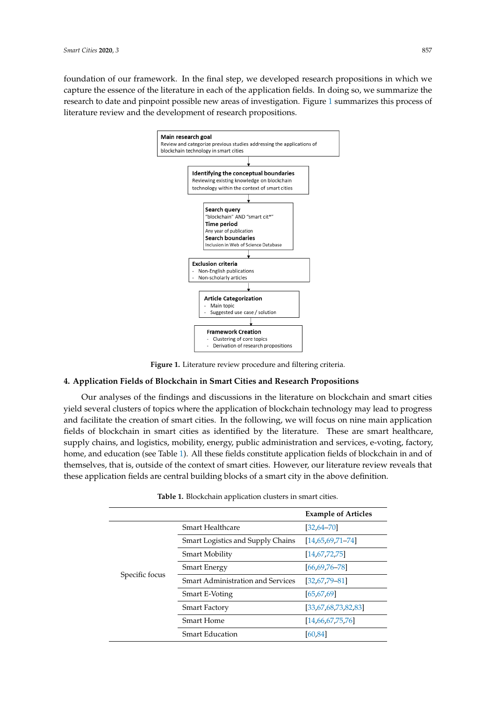<span id="page-4-1"></span>foundation of our framework. In the final step, we developed research propositions in which we capture the essence of the literature in each of the application fields. In doing so, we summarize the research to date and pinpoint possible new areas of investigation. Figure [1](#page-4-1) summarizes this process of literature review and the development of research propositions. of literature review and the development of research propositions. research to date and pinpoint possible new areas of investigation. Figure 1 summarizes this process



**Figure 1.** Literature review procedure and filtering criteria. **Figure 1.** Literature review procedure and filtering criteria.

## <span id="page-4-0"></span>**4. Application Fields of Blockchain in Smart Cities and Research Propositions 4. Application Fields of Blockchain in Smart Cities and Research Propositions**

Our analyses of the findings and discussions in the literature on blockchain and smart cities yield several clusters of topics where the application of blockchain technology may lead to progress and facilitate the creation of smart cities. In the following, we will focus on nine main application fields of blockchain in smart cities as identified by the literature. These are smart healthcare, supply chains, and logistics, mobility, energy, public administration and services, e-voting, factory, home, and education (see Table [1\)](#page-4-2). All these fields constitute application fields of blockchain in and of  $t_{\rm eff}$  and called of the context of  $t_{\rm eff}$  and decomputed of small context of social definition review  $\sigma$ themselves, that is, outside of the context of smart cities. However, our literature review reveals that these application fields are central building blocks of a smart city in the above definition.

<span id="page-4-2"></span>

|                |                                          | <b>Example of Articles</b> |
|----------------|------------------------------------------|----------------------------|
| Specific focus | <b>Smart Healthcare</b>                  | $[32, 64 - 70]$            |
|                | Smart Logistics and Supply Chains        | $[14,65,69,71-74]$         |
|                | <b>Smart Mobility</b>                    | [14,67,72,75]              |
|                | <b>Smart Energy</b>                      | $[66, 69, 76 - 78]$        |
|                | <b>Smart Administration and Services</b> | $[32, 67, 79 - 81]$        |
|                | Smart E-Voting                           | [65, 67, 69]               |
|                | <b>Smart Factory</b>                     | [33,67,68,73,82,83]        |
|                | <b>Smart Home</b>                        | [14,66,67,75,76]           |
|                | <b>Smart Education</b>                   | [60, 84]                   |

**Table 1.** Blockchain application clusters in smart cities.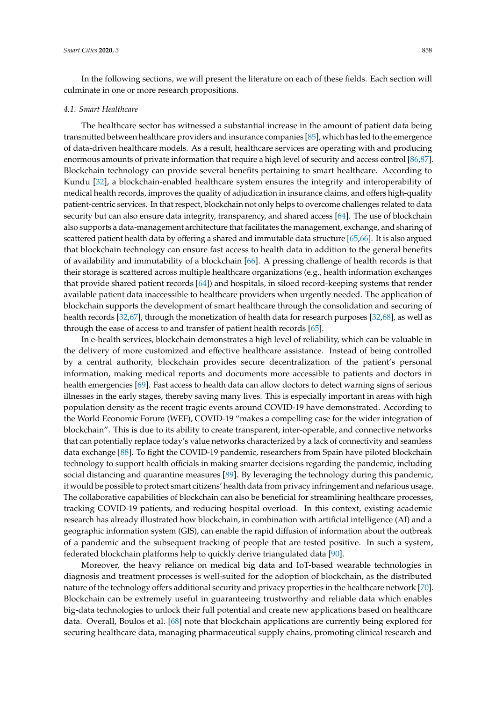In the following sections, we will present the literature on each of these fields. Each section will culminate in one or more research propositions.

#### *4.1. Smart Healthcare*

The healthcare sector has witnessed a substantial increase in the amount of patient data being transmitted between healthcare providers and insurance companies [\[85\]](#page-18-2), which has led to the emergence of data-driven healthcare models. As a result, healthcare services are operating with and producing enormous amounts of private information that require a high level of security and access control [\[86](#page-18-3)[,87\]](#page-18-4). Blockchain technology can provide several benefits pertaining to smart healthcare. According to Kundu [\[32\]](#page-15-22), a blockchain-enabled healthcare system ensures the integrity and interoperability of medical health records, improves the quality of adjudication in insurance claims, and offers high-quality patient-centric services. In that respect, blockchain not only helps to overcome challenges related to data security but can also ensure data integrity, transparency, and shared access [\[64\]](#page-17-4). The use of blockchain also supports a data-management architecture that facilitates the management, exchange, and sharing of scattered patient health data by offering a shared and immutable data structure [\[65,](#page-17-6)[66\]](#page-17-13). It is also argued that blockchain technology can ensure fast access to health data in addition to the general benefits of availability and immutability of a blockchain [\[66\]](#page-17-13). A pressing challenge of health records is that their storage is scattered across multiple healthcare organizations (e.g., health information exchanges that provide shared patient records [\[64\]](#page-17-4)) and hospitals, in siloed record-keeping systems that render available patient data inaccessible to healthcare providers when urgently needed. The application of blockchain supports the development of smart healthcare through the consolidation and securing of health records [\[32](#page-15-22)[,67\]](#page-17-10), through the monetization of health data for research purposes [\[32](#page-15-22)[,68\]](#page-17-18), as well as through the ease of access to and transfer of patient health records [\[65\]](#page-17-6).

In e-health services, blockchain demonstrates a high level of reliability, which can be valuable in the delivery of more customized and effective healthcare assistance. Instead of being controlled by a central authority, blockchain provides secure decentralization of the patient's personal information, making medical reports and documents more accessible to patients and doctors in health emergencies [\[69\]](#page-17-7). Fast access to health data can allow doctors to detect warning signs of serious illnesses in the early stages, thereby saving many lives. This is especially important in areas with high population density as the recent tragic events around COVID-19 have demonstrated. According to the World Economic Forum (WEF), COVID-19 "makes a compelling case for the wider integration of blockchain". This is due to its ability to create transparent, inter-operable, and connective networks that can potentially replace today's value networks characterized by a lack of connectivity and seamless data exchange [\[88\]](#page-18-5). To fight the COVID-19 pandemic, researchers from Spain have piloted blockchain technology to support health officials in making smarter decisions regarding the pandemic, including social distancing and quarantine measures [\[89\]](#page-18-6). By leveraging the technology during this pandemic, it would be possible to protect smart citizens' health data from privacy infringement and nefarious usage. The collaborative capabilities of blockchain can also be beneficial for streamlining healthcare processes, tracking COVID-19 patients, and reducing hospital overload. In this context, existing academic research has already illustrated how blockchain, in combination with artificial intelligence (AI) and a geographic information system (GIS), can enable the rapid diffusion of information about the outbreak of a pandemic and the subsequent tracking of people that are tested positive. In such a system, federated blockchain platforms help to quickly derive triangulated data [\[90\]](#page-18-7).

Moreover, the heavy reliance on medical big data and IoT-based wearable technologies in diagnosis and treatment processes is well-suited for the adoption of blockchain, as the distributed nature of the technology offers additional security and privacy properties in the healthcare network [\[70\]](#page-17-5). Blockchain can be extremely useful in guaranteeing trustworthy and reliable data which enables big-data technologies to unlock their full potential and create new applications based on healthcare data. Overall, Boulos et al. [\[68\]](#page-17-18) note that blockchain applications are currently being explored for securing healthcare data, managing pharmaceutical supply chains, promoting clinical research and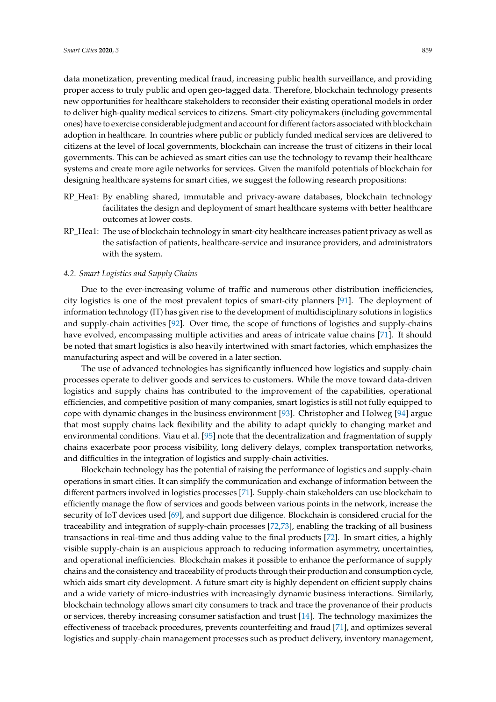data monetization, preventing medical fraud, increasing public health surveillance, and providing proper access to truly public and open geo-tagged data. Therefore, blockchain technology presents new opportunities for healthcare stakeholders to reconsider their existing operational models in order to deliver high-quality medical services to citizens. Smart-city policymakers (including governmental ones) have to exercise considerable judgment and account for different factors associated with blockchain adoption in healthcare. In countries where public or publicly funded medical services are delivered to citizens at the level of local governments, blockchain can increase the trust of citizens in their local governments. This can be achieved as smart cities can use the technology to revamp their healthcare systems and create more agile networks for services. Given the manifold potentials of blockchain for designing healthcare systems for smart cities, we suggest the following research propositions:

- RP\_Hea1: By enabling shared, immutable and privacy-aware databases, blockchain technology facilitates the design and deployment of smart healthcare systems with better healthcare outcomes at lower costs.
- RP\_Hea1: The use of blockchain technology in smart-city healthcare increases patient privacy as well as the satisfaction of patients, healthcare-service and insurance providers, and administrators with the system.

## *4.2. Smart Logistics and Supply Chains*

Due to the ever-increasing volume of traffic and numerous other distribution inefficiencies, city logistics is one of the most prevalent topics of smart-city planners [\[91\]](#page-18-8). The deployment of information technology (IT) has given rise to the development of multidisciplinary solutions in logistics and supply-chain activities [\[92\]](#page-18-9). Over time, the scope of functions of logistics and supply-chains have evolved, encompassing multiple activities and areas of intricate value chains [\[71\]](#page-17-8). It should be noted that smart logistics is also heavily intertwined with smart factories, which emphasizes the manufacturing aspect and will be covered in a later section.

The use of advanced technologies has significantly influenced how logistics and supply-chain processes operate to deliver goods and services to customers. While the move toward data-driven logistics and supply chains has contributed to the improvement of the capabilities, operational efficiencies, and competitive position of many companies, smart logistics is still not fully equipped to cope with dynamic changes in the business environment [\[93\]](#page-18-10). Christopher and Holweg [\[94\]](#page-18-11) argue that most supply chains lack flexibility and the ability to adapt quickly to changing market and environmental conditions. Viau et al. [\[95\]](#page-18-12) note that the decentralization and fragmentation of supply chains exacerbate poor process visibility, long delivery delays, complex transportation networks, and difficulties in the integration of logistics and supply-chain activities.

Blockchain technology has the potential of raising the performance of logistics and supply-chain operations in smart cities. It can simplify the communication and exchange of information between the different partners involved in logistics processes [\[71\]](#page-17-8). Supply-chain stakeholders can use blockchain to efficiently manage the flow of services and goods between various points in the network, increase the security of IoT devices used [\[69\]](#page-17-7), and support due diligence. Blockchain is considered crucial for the traceability and integration of supply-chain processes [\[72,](#page-17-11)[73\]](#page-17-19), enabling the tracking of all business transactions in real-time and thus adding value to the final products [\[72\]](#page-17-11). In smart cities, a highly visible supply-chain is an auspicious approach to reducing information asymmetry, uncertainties, and operational inefficiencies. Blockchain makes it possible to enhance the performance of supply chains and the consistency and traceability of products through their production and consumption cycle, which aids smart city development. A future smart city is highly dependent on efficient supply chains and a wide variety of micro-industries with increasingly dynamic business interactions. Similarly, blockchain technology allows smart city consumers to track and trace the provenance of their products or services, thereby increasing consumer satisfaction and trust [\[14\]](#page-15-1). The technology maximizes the effectiveness of traceback procedures, prevents counterfeiting and fraud [\[71\]](#page-17-8), and optimizes several logistics and supply-chain management processes such as product delivery, inventory management,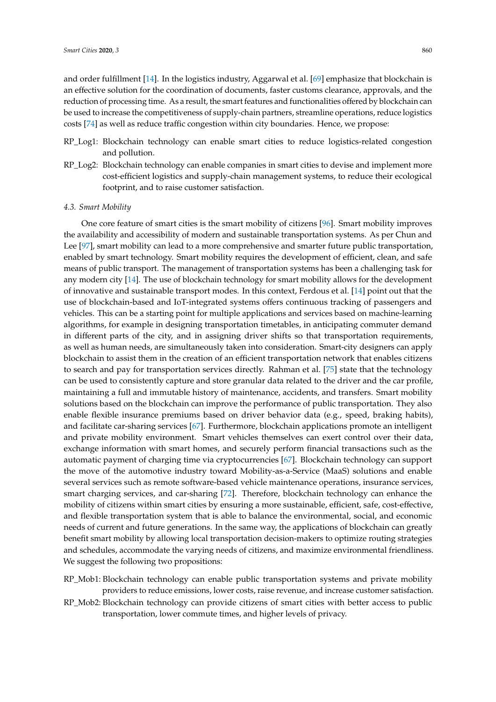and order fulfillment [\[14\]](#page-15-1). In the logistics industry, Aggarwal et al. [\[69\]](#page-17-7) emphasize that blockchain is an effective solution for the coordination of documents, faster customs clearance, approvals, and the reduction of processing time. As a result, the smart features and functionalities offered by blockchain can be used to increase the competitiveness of supply-chain partners, streamline operations, reduce logistics costs [\[74\]](#page-17-9) as well as reduce traffic congestion within city boundaries. Hence, we propose:

- RP Log1: Blockchain technology can enable smart cities to reduce logistics-related congestion and pollution.
- RP\_Log2: Blockchain technology can enable companies in smart cities to devise and implement more cost-efficient logistics and supply-chain management systems, to reduce their ecological footprint, and to raise customer satisfaction.

## *4.3. Smart Mobility*

One core feature of smart cities is the smart mobility of citizens [\[96\]](#page-18-13). Smart mobility improves the availability and accessibility of modern and sustainable transportation systems. As per Chun and Lee [\[97\]](#page-18-14), smart mobility can lead to a more comprehensive and smarter future public transportation, enabled by smart technology. Smart mobility requires the development of efficient, clean, and safe means of public transport. The management of transportation systems has been a challenging task for any modern city [\[14\]](#page-15-1). The use of blockchain technology for smart mobility allows for the development of innovative and sustainable transport modes. In this context, Ferdous et al. [\[14\]](#page-15-1) point out that the use of blockchain-based and IoT-integrated systems offers continuous tracking of passengers and vehicles. This can be a starting point for multiple applications and services based on machine-learning algorithms, for example in designing transportation timetables, in anticipating commuter demand in different parts of the city, and in assigning driver shifts so that transportation requirements, as well as human needs, are simultaneously taken into consideration. Smart-city designers can apply blockchain to assist them in the creation of an efficient transportation network that enables citizens to search and pay for transportation services directly. Rahman et al. [\[75\]](#page-17-12) state that the technology can be used to consistently capture and store granular data related to the driver and the car profile, maintaining a full and immutable history of maintenance, accidents, and transfers. Smart mobility solutions based on the blockchain can improve the performance of public transportation. They also enable flexible insurance premiums based on driver behavior data (e.g., speed, braking habits), and facilitate car-sharing services [\[67\]](#page-17-10). Furthermore, blockchain applications promote an intelligent and private mobility environment. Smart vehicles themselves can exert control over their data, exchange information with smart homes, and securely perform financial transactions such as the automatic payment of charging time via cryptocurrencies [\[67\]](#page-17-10). Blockchain technology can support the move of the automotive industry toward Mobility-as-a-Service (MaaS) solutions and enable several services such as remote software-based vehicle maintenance operations, insurance services, smart charging services, and car-sharing [\[72\]](#page-17-11). Therefore, blockchain technology can enhance the mobility of citizens within smart cities by ensuring a more sustainable, efficient, safe, cost-effective, and flexible transportation system that is able to balance the environmental, social, and economic needs of current and future generations. In the same way, the applications of blockchain can greatly benefit smart mobility by allowing local transportation decision-makers to optimize routing strategies and schedules, accommodate the varying needs of citizens, and maximize environmental friendliness. We suggest the following two propositions:

- RP\_Mob1: Blockchain technology can enable public transportation systems and private mobility providers to reduce emissions, lower costs, raise revenue, and increase customer satisfaction.
- RP\_Mob2: Blockchain technology can provide citizens of smart cities with better access to public transportation, lower commute times, and higher levels of privacy.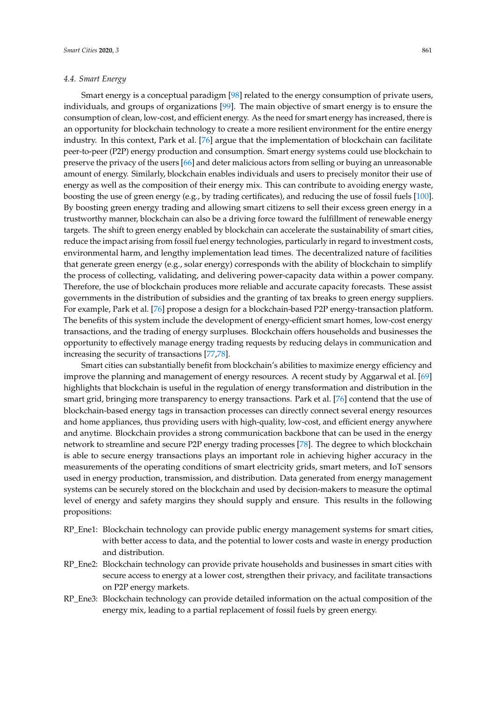#### *4.4. Smart Energy*

increasing the security of transactions [\[77,](#page-17-21)[78\]](#page-17-15).

Smart energy is a conceptual paradigm [\[98\]](#page-18-15) related to the energy consumption of private users, individuals, and groups of organizations [\[99\]](#page-18-16). The main objective of smart energy is to ensure the consumption of clean, low-cost, and efficient energy. As the need for smart energy has increased, there is an opportunity for blockchain technology to create a more resilient environment for the entire energy industry. In this context, Park et al. [\[76\]](#page-17-14) argue that the implementation of blockchain can facilitate peer-to-peer (P2P) energy production and consumption. Smart energy systems could use blockchain to preserve the privacy of the users [\[66\]](#page-17-13) and deter malicious actors from selling or buying an unreasonable amount of energy. Similarly, blockchain enables individuals and users to precisely monitor their use of energy as well as the composition of their energy mix. This can contribute to avoiding energy waste, boosting the use of green energy (e.g., by trading certificates), and reducing the use of fossil fuels [\[100\]](#page-18-17). By boosting green energy trading and allowing smart citizens to sell their excess green energy in a trustworthy manner, blockchain can also be a driving force toward the fulfillment of renewable energy targets. The shift to green energy enabled by blockchain can accelerate the sustainability of smart cities, reduce the impact arising from fossil fuel energy technologies, particularly in regard to investment costs, environmental harm, and lengthy implementation lead times. The decentralized nature of facilities that generate green energy (e.g., solar energy) corresponds with the ability of blockchain to simplify the process of collecting, validating, and delivering power-capacity data within a power company. Therefore, the use of blockchain produces more reliable and accurate capacity forecasts. These assist governments in the distribution of subsidies and the granting of tax breaks to green energy suppliers. For example, Park et al. [\[76\]](#page-17-14) propose a design for a blockchain-based P2P energy-transaction platform. The benefits of this system include the development of energy-efficient smart homes, low-cost energy transactions, and the trading of energy surpluses. Blockchain offers households and businesses the opportunity to effectively manage energy trading requests by reducing delays in communication and

Smart cities can substantially benefit from blockchain's abilities to maximize energy efficiency and improve the planning and management of energy resources. A recent study by Aggarwal et al. [\[69\]](#page-17-7) highlights that blockchain is useful in the regulation of energy transformation and distribution in the smart grid, bringing more transparency to energy transactions. Park et al. [\[76\]](#page-17-14) contend that the use of blockchain-based energy tags in transaction processes can directly connect several energy resources and home appliances, thus providing users with high-quality, low-cost, and efficient energy anywhere and anytime. Blockchain provides a strong communication backbone that can be used in the energy network to streamline and secure P2P energy trading processes [\[78\]](#page-17-15). The degree to which blockchain is able to secure energy transactions plays an important role in achieving higher accuracy in the measurements of the operating conditions of smart electricity grids, smart meters, and IoT sensors used in energy production, transmission, and distribution. Data generated from energy management systems can be securely stored on the blockchain and used by decision-makers to measure the optimal level of energy and safety margins they should supply and ensure. This results in the following propositions:

- RP\_Ene1: Blockchain technology can provide public energy management systems for smart cities, with better access to data, and the potential to lower costs and waste in energy production and distribution.
- RP\_Ene2: Blockchain technology can provide private households and businesses in smart cities with secure access to energy at a lower cost, strengthen their privacy, and facilitate transactions on P2P energy markets.
- RP\_Ene3: Blockchain technology can provide detailed information on the actual composition of the energy mix, leading to a partial replacement of fossil fuels by green energy.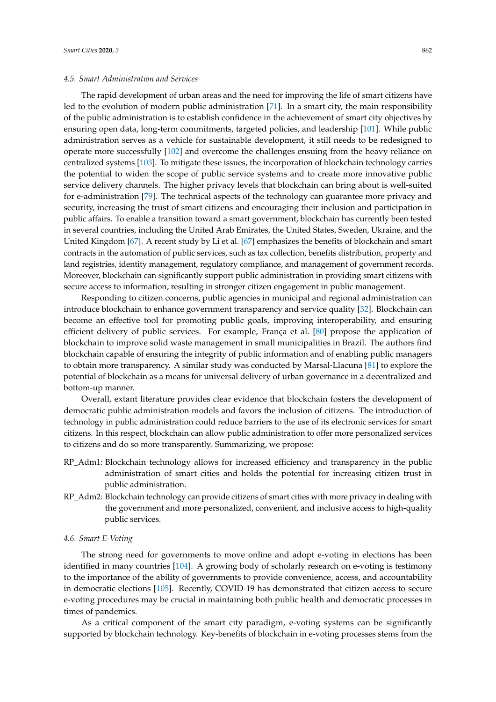#### *4.5. Smart Administration and Services*

The rapid development of urban areas and the need for improving the life of smart citizens have led to the evolution of modern public administration [\[71\]](#page-17-8). In a smart city, the main responsibility of the public administration is to establish confidence in the achievement of smart city objectives by ensuring open data, long-term commitments, targeted policies, and leadership [\[101\]](#page-18-18). While public administration serves as a vehicle for sustainable development, it still needs to be redesigned to operate more successfully [\[102\]](#page-18-19) and overcome the challenges ensuing from the heavy reliance on centralized systems [\[103\]](#page-18-20). To mitigate these issues, the incorporation of blockchain technology carries the potential to widen the scope of public service systems and to create more innovative public service delivery channels. The higher privacy levels that blockchain can bring about is well-suited for e-administration [\[79\]](#page-17-16). The technical aspects of the technology can guarantee more privacy and security, increasing the trust of smart citizens and encouraging their inclusion and participation in public affairs. To enable a transition toward a smart government, blockchain has currently been tested in several countries, including the United Arab Emirates, the United States, Sweden, Ukraine, and the United Kingdom [\[67\]](#page-17-10). A recent study by Li et al. [\[67\]](#page-17-10) emphasizes the benefits of blockchain and smart contracts in the automation of public services, such as tax collection, benefits distribution, property and land registries, identity management, regulatory compliance, and management of government records. Moreover, blockchain can significantly support public administration in providing smart citizens with secure access to information, resulting in stronger citizen engagement in public management.

Responding to citizen concerns, public agencies in municipal and regional administration can introduce blockchain to enhance government transparency and service quality [\[32\]](#page-15-22). Blockchain can become an effective tool for promoting public goals, improving interoperability, and ensuring efficient delivery of public services. For example, França et al. [\[80\]](#page-17-22) propose the application of blockchain to improve solid waste management in small municipalities in Brazil. The authors find blockchain capable of ensuring the integrity of public information and of enabling public managers to obtain more transparency. A similar study was conducted by Marsal-Llacuna [\[81\]](#page-17-17) to explore the potential of blockchain as a means for universal delivery of urban governance in a decentralized and bottom-up manner.

Overall, extant literature provides clear evidence that blockchain fosters the development of democratic public administration models and favors the inclusion of citizens. The introduction of technology in public administration could reduce barriers to the use of its electronic services for smart citizens. In this respect, blockchain can allow public administration to offer more personalized services to citizens and do so more transparently. Summarizing, we propose:

- RP\_Adm1: Blockchain technology allows for increased efficiency and transparency in the public administration of smart cities and holds the potential for increasing citizen trust in public administration.
- RP\_Adm2: Blockchain technology can provide citizens of smart cities with more privacy in dealing with the government and more personalized, convenient, and inclusive access to high-quality public services.

## *4.6. Smart E-Voting*

The strong need for governments to move online and adopt e-voting in elections has been identified in many countries [\[104\]](#page-18-21). A growing body of scholarly research on e-voting is testimony to the importance of the ability of governments to provide convenience, access, and accountability in democratic elections [\[105\]](#page-18-22). Recently, COVID-19 has demonstrated that citizen access to secure e-voting procedures may be crucial in maintaining both public health and democratic processes in times of pandemics.

As a critical component of the smart city paradigm, e-voting systems can be significantly supported by blockchain technology. Key-benefits of blockchain in e-voting processes stems from the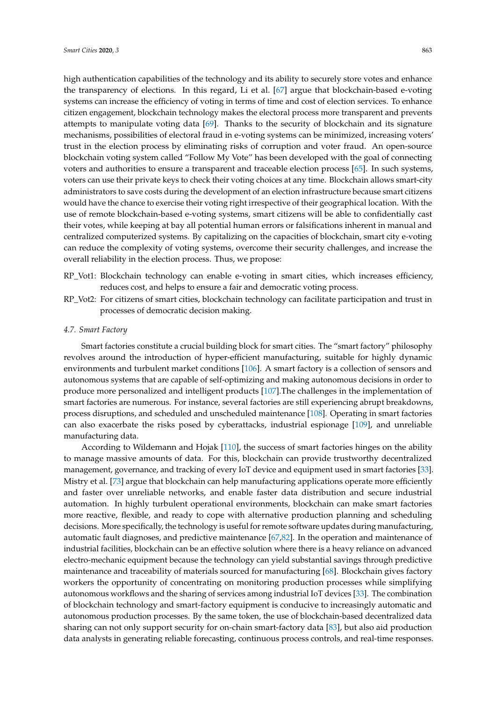high authentication capabilities of the technology and its ability to securely store votes and enhance the transparency of elections. In this regard, Li et al. [\[67\]](#page-17-10) argue that blockchain-based e-voting systems can increase the efficiency of voting in terms of time and cost of election services. To enhance citizen engagement, blockchain technology makes the electoral process more transparent and prevents attempts to manipulate voting data [\[69\]](#page-17-7). Thanks to the security of blockchain and its signature mechanisms, possibilities of electoral fraud in e-voting systems can be minimized, increasing voters' trust in the election process by eliminating risks of corruption and voter fraud. An open-source blockchain voting system called "Follow My Vote" has been developed with the goal of connecting voters and authorities to ensure a transparent and traceable election process [\[65\]](#page-17-6). In such systems, voters can use their private keys to check their voting choices at any time. Blockchain allows smart-city administrators to save costs during the development of an election infrastructure because smart citizens would have the chance to exercise their voting right irrespective of their geographical location. With the use of remote blockchain-based e-voting systems, smart citizens will be able to confidentially cast their votes, while keeping at bay all potential human errors or falsifications inherent in manual and centralized computerized systems. By capitalizing on the capacities of blockchain, smart city e-voting can reduce the complexity of voting systems, overcome their security challenges, and increase the overall reliability in the election process. Thus, we propose:

- RP\_Vot1: Blockchain technology can enable e-voting in smart cities, which increases efficiency, reduces cost, and helps to ensure a fair and democratic voting process.
- RP\_Vot2: For citizens of smart cities, blockchain technology can facilitate participation and trust in processes of democratic decision making.

#### *4.7. Smart Factory*

Smart factories constitute a crucial building block for smart cities. The "smart factory" philosophy revolves around the introduction of hyper-efficient manufacturing, suitable for highly dynamic environments and turbulent market conditions [\[106\]](#page-18-23). A smart factory is a collection of sensors and autonomous systems that are capable of self-optimizing and making autonomous decisions in order to produce more personalized and intelligent products [\[107\]](#page-19-0).The challenges in the implementation of smart factories are numerous. For instance, several factories are still experiencing abrupt breakdowns, process disruptions, and scheduled and unscheduled maintenance [\[108\]](#page-19-1). Operating in smart factories can also exacerbate the risks posed by cyberattacks, industrial espionage [\[109\]](#page-19-2), and unreliable manufacturing data.

According to Wildemann and Hojak [\[110\]](#page-19-3), the success of smart factories hinges on the ability to manage massive amounts of data. For this, blockchain can provide trustworthy decentralized management, governance, and tracking of every IoT device and equipment used in smart factories [\[33\]](#page-15-17). Mistry et al. [\[73\]](#page-17-19) argue that blockchain can help manufacturing applications operate more efficiently and faster over unreliable networks, and enable faster data distribution and secure industrial automation. In highly turbulent operational environments, blockchain can make smart factories more reactive, flexible, and ready to cope with alternative production planning and scheduling decisions. More specifically, the technology is useful for remote software updates during manufacturing, automatic fault diagnoses, and predictive maintenance [\[67,](#page-17-10)[82\]](#page-17-20). In the operation and maintenance of industrial facilities, blockchain can be an effective solution where there is a heavy reliance on advanced electro-mechanic equipment because the technology can yield substantial savings through predictive maintenance and traceability of materials sourced for manufacturing [\[68\]](#page-17-18). Blockchain gives factory workers the opportunity of concentrating on monitoring production processes while simplifying autonomous workflows and the sharing of services among industrial IoT devices [\[33\]](#page-15-17). The combination of blockchain technology and smart-factory equipment is conducive to increasingly automatic and autonomous production processes. By the same token, the use of blockchain-based decentralized data sharing can not only support security for on-chain smart-factory data [\[83\]](#page-18-0), but also aid production data analysts in generating reliable forecasting, continuous process controls, and real-time responses.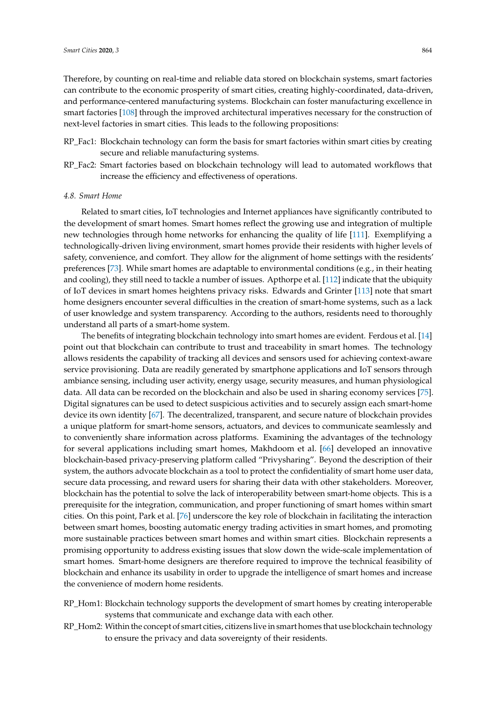Therefore, by counting on real-time and reliable data stored on blockchain systems, smart factories can contribute to the economic prosperity of smart cities, creating highly-coordinated, data-driven, and performance-centered manufacturing systems. Blockchain can foster manufacturing excellence in smart factories [\[108\]](#page-19-1) through the improved architectural imperatives necessary for the construction of next-level factories in smart cities. This leads to the following propositions:

- RP\_Fac1: Blockchain technology can form the basis for smart factories within smart cities by creating secure and reliable manufacturing systems.
- RP\_Fac2: Smart factories based on blockchain technology will lead to automated workflows that increase the efficiency and effectiveness of operations.

#### *4.8. Smart Home*

Related to smart cities, IoT technologies and Internet appliances have significantly contributed to the development of smart homes. Smart homes reflect the growing use and integration of multiple new technologies through home networks for enhancing the quality of life [\[111\]](#page-19-4). Exemplifying a technologically-driven living environment, smart homes provide their residents with higher levels of safety, convenience, and comfort. They allow for the alignment of home settings with the residents' preferences [\[73\]](#page-17-19). While smart homes are adaptable to environmental conditions (e.g., in their heating and cooling), they still need to tackle a number of issues. Apthorpe et al. [\[112\]](#page-19-5) indicate that the ubiquity of IoT devices in smart homes heightens privacy risks. Edwards and Grinter [\[113\]](#page-19-6) note that smart home designers encounter several difficulties in the creation of smart-home systems, such as a lack of user knowledge and system transparency. According to the authors, residents need to thoroughly understand all parts of a smart-home system.

The benefits of integrating blockchain technology into smart homes are evident. Ferdous et al. [\[14\]](#page-15-1) point out that blockchain can contribute to trust and traceability in smart homes. The technology allows residents the capability of tracking all devices and sensors used for achieving context-aware service provisioning. Data are readily generated by smartphone applications and IoT sensors through ambiance sensing, including user activity, energy usage, security measures, and human physiological data. All data can be recorded on the blockchain and also be used in sharing economy services [\[75\]](#page-17-12). Digital signatures can be used to detect suspicious activities and to securely assign each smart-home device its own identity [\[67\]](#page-17-10). The decentralized, transparent, and secure nature of blockchain provides a unique platform for smart-home sensors, actuators, and devices to communicate seamlessly and to conveniently share information across platforms. Examining the advantages of the technology for several applications including smart homes, Makhdoom et al. [\[66\]](#page-17-13) developed an innovative blockchain-based privacy-preserving platform called "Privysharing". Beyond the description of their system, the authors advocate blockchain as a tool to protect the confidentiality of smart home user data, secure data processing, and reward users for sharing their data with other stakeholders. Moreover, blockchain has the potential to solve the lack of interoperability between smart-home objects. This is a prerequisite for the integration, communication, and proper functioning of smart homes within smart cities. On this point, Park et al. [\[76\]](#page-17-14) underscore the key role of blockchain in facilitating the interaction between smart homes, boosting automatic energy trading activities in smart homes, and promoting more sustainable practices between smart homes and within smart cities. Blockchain represents a promising opportunity to address existing issues that slow down the wide-scale implementation of smart homes. Smart-home designers are therefore required to improve the technical feasibility of blockchain and enhance its usability in order to upgrade the intelligence of smart homes and increase the convenience of modern home residents.

- RP\_Hom1: Blockchain technology supports the development of smart homes by creating interoperable systems that communicate and exchange data with each other.
- RP\_Hom2: Within the concept of smart cities, citizens live in smart homes that use blockchain technology to ensure the privacy and data sovereignty of their residents.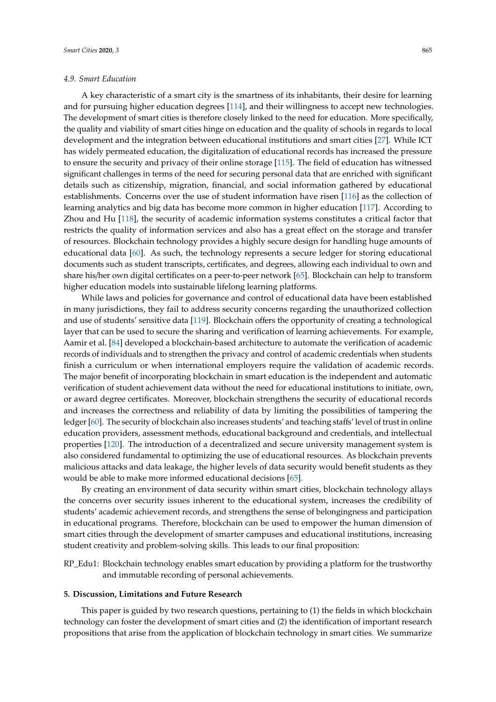#### *4.9. Smart Education*

A key characteristic of a smart city is the smartness of its inhabitants, their desire for learning and for pursuing higher education degrees [\[114\]](#page-19-7), and their willingness to accept new technologies. The development of smart cities is therefore closely linked to the need for education. More specifically, the quality and viability of smart cities hinge on education and the quality of schools in regards to local development and the integration between educational institutions and smart cities [\[27\]](#page-15-18). While ICT has widely permeated education, the digitalization of educational records has increased the pressure to ensure the security and privacy of their online storage [\[115\]](#page-19-8). The field of education has witnessed significant challenges in terms of the need for securing personal data that are enriched with significant details such as citizenship, migration, financial, and social information gathered by educational establishments. Concerns over the use of student information have risen [\[116\]](#page-19-9) as the collection of learning analytics and big data has become more common in higher education [\[117\]](#page-19-10). According to Zhou and Hu [\[118\]](#page-19-11), the security of academic information systems constitutes a critical factor that restricts the quality of information services and also has a great effect on the storage and transfer of resources. Blockchain technology provides a highly secure design for handling huge amounts of educational data [\[60\]](#page-17-0). As such, the technology represents a secure ledger for storing educational documents such as student transcripts, certificates, and degrees, allowing each individual to own and share his/her own digital certificates on a peer-to-peer network [\[65\]](#page-17-6). Blockchain can help to transform higher education models into sustainable lifelong learning platforms.

While laws and policies for governance and control of educational data have been established in many jurisdictions, they fail to address security concerns regarding the unauthorized collection and use of students' sensitive data [\[119\]](#page-19-12). Blockchain offers the opportunity of creating a technological layer that can be used to secure the sharing and verification of learning achievements. For example, Aamir et al. [\[84\]](#page-18-1) developed a blockchain-based architecture to automate the verification of academic records of individuals and to strengthen the privacy and control of academic credentials when students finish a curriculum or when international employers require the validation of academic records. The major benefit of incorporating blockchain in smart education is the independent and automatic verification of student achievement data without the need for educational institutions to initiate, own, or award degree certificates. Moreover, blockchain strengthens the security of educational records and increases the correctness and reliability of data by limiting the possibilities of tampering the ledger [\[60\]](#page-17-0). The security of blockchain also increases students' and teaching staffs' level of trust in online education providers, assessment methods, educational background and credentials, and intellectual properties [\[120\]](#page-19-13). The introduction of a decentralized and secure university management system is also considered fundamental to optimizing the use of educational resources. As blockchain prevents malicious attacks and data leakage, the higher levels of data security would benefit students as they would be able to make more informed educational decisions [\[65\]](#page-17-6).

By creating an environment of data security within smart cities, blockchain technology allays the concerns over security issues inherent to the educational system, increases the credibility of students' academic achievement records, and strengthens the sense of belongingness and participation in educational programs. Therefore, blockchain can be used to empower the human dimension of smart cities through the development of smarter campuses and educational institutions, increasing student creativity and problem-solving skills. This leads to our final proposition:

RP\_Edu1: Blockchain technology enables smart education by providing a platform for the trustworthy and immutable recording of personal achievements.

#### <span id="page-12-0"></span>**5. Discussion, Limitations and Future Research**

This paper is guided by two research questions, pertaining to (1) the fields in which blockchain technology can foster the development of smart cities and (2) the identification of important research propositions that arise from the application of blockchain technology in smart cities. We summarize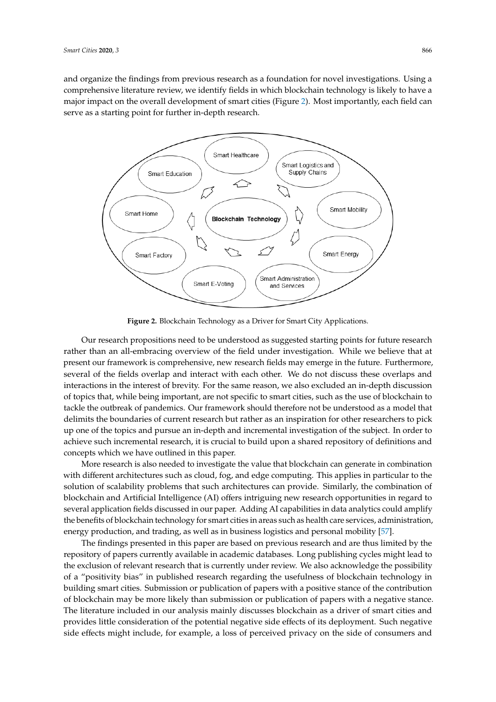and organize the findings from previous research as a foundation for novel investigations. Using a comprehensive literature review, we identify fields in which blockchain technology is likely to have a major impact on the overall development of smart cities (Figure [2\)](#page-13-0). Most importantly, each field can serve as a starting point for further in-depth research.

<span id="page-13-0"></span>

**Figure 2.** Blockchain Technology as a Driver for Smart City Applications. **Figure 2.** Blockchain Technology as a Driver for Smart City Applications.

Our research propositions need to be understood as suggested starting points for future research Our research propositions need to be understood as suggested starting points for future research rather than an all-embracing overview of the field under investigation. While we believe that at rather than an all-embracing overview of the field under investigation. While we believe that at present our framework is comprehensive, new research fields may emerge in the future. present our framework is comprehensive, new research fields may emerge in the future. Furthermore, several of the fields overlap and interact with each other. We do not discuss these overlaps and interactions in the interest of brevity. For the same reason, we also excluded an in-depth discussion of topics that, while being important, are not specific to smart cities, such as the use of blockchain to tackle the outbreak of pandemics. Our framework should therefore not be understood as a model that delimits the boundaries of current research but rather as an inspiration for other researchers to pick up one of the topics and pursue an in-depth and incremental investigation of the subject. In order to achieve such incremental research, it is crucial to build upon a shared repository of definitions and concepts which we have outlined in this paper.

More research is also needed to investigate the value that blockchain can generate in More research is also needed to investigate the value that blockchain can generate in combination with different architectures such as cloud, fog, and edge computing. This applies in particular to the solution of scalability problems that such architectures can provide. Similarly, the combination of blockchain and Artificial Intelligence (AI) offers intriguing new research opportunities in regard to several application fields discussed in our paper. Adding AI capabilities in data analytics could amplify the benefits of blockchain technology for smart cities in areas such as health care services, administration, energy production, and trading, as well as in bu[sine](#page-16-12)ss logistics and personal mobility [57].

The findings presented in this paper are based on previous research and are thus limited by the repository of papers currently available in academic databases. Long publishing cycles might lead to the exclusion of relevant research that is currently under review. We also acknowledge the possibility of a "positivity bias" in published research regarding the usefulness of blockchain technology in building smart cities. Submission or publication of papers with a positive stance of the contribution of blockchain may be more likely than submission or publication of papers with a negative stance. The literature included in our analysis mainly discusses blockchain as a driver of smart cities and provides little consideration of the potential negative side effects of its deployment. Such negative side effects might include, for example, a loss of perceived privacy on the side of consumers and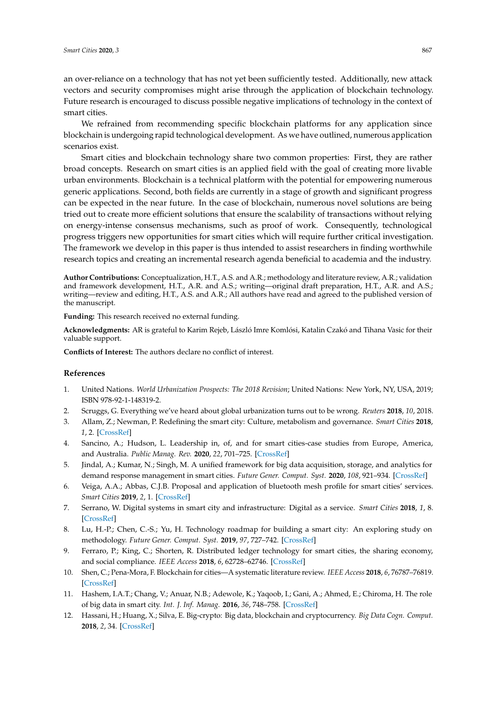an over-reliance on a technology that has not yet been sufficiently tested. Additionally, new attack vectors and security compromises might arise through the application of blockchain technology. Future research is encouraged to discuss possible negative implications of technology in the context of smart cities.

We refrained from recommending specific blockchain platforms for any application since blockchain is undergoing rapid technological development. As we have outlined, numerous application scenarios exist.

Smart cities and blockchain technology share two common properties: First, they are rather broad concepts. Research on smart cities is an applied field with the goal of creating more livable urban environments. Blockchain is a technical platform with the potential for empowering numerous generic applications. Second, both fields are currently in a stage of growth and significant progress can be expected in the near future. In the case of blockchain, numerous novel solutions are being tried out to create more efficient solutions that ensure the scalability of transactions without relying on energy-intense consensus mechanisms, such as proof of work. Consequently, technological progress triggers new opportunities for smart cities which will require further critical investigation. The framework we develop in this paper is thus intended to assist researchers in finding worthwhile research topics and creating an incremental research agenda beneficial to academia and the industry.

**Author Contributions:** Conceptualization, H.T., A.S. and A.R.; methodology and literature review, A.R.; validation and framework development, H.T., A.R. and A.S.; writing—original draft preparation, H.T., A.R. and A.S.; writing—review and editing, H.T., A.S. and A.R.; All authors have read and agreed to the published version of the manuscript.

**Funding:** This research received no external funding.

**Acknowledgments:** AR is grateful to Karim Rejeb, László Imre Komlósi, Katalin Czakó and Tihana Vasic for their valuable support.

**Conflicts of Interest:** The authors declare no conflict of interest.

#### **References**

- <span id="page-14-0"></span>1. United Nations. *World Urbanization Prospects: The 2018 Revision*; United Nations: New York, NY, USA, 2019; ISBN 978-92-1-148319-2.
- <span id="page-14-2"></span><span id="page-14-1"></span>2. Scruggs, G. Everything we've heard about global urbanization turns out to be wrong. *Reuters* **2018**, *10*, 2018.
- 3. Allam, Z.; Newman, P. Redefining the smart city: Culture, metabolism and governance. *Smart Cities* **2018**, *1*, 2. [\[CrossRef\]](http://dx.doi.org/10.3390/smartcities1010002)
- <span id="page-14-3"></span>4. Sancino, A.; Hudson, L. Leadership in, of, and for smart cities-case studies from Europe, America, and Australia. *Public Manag. Rev.* **2020**, *22*, 701–725. [\[CrossRef\]](http://dx.doi.org/10.1080/14719037.2020.1718189)
- <span id="page-14-4"></span>5. Jindal, A.; Kumar, N.; Singh, M. A unified framework for big data acquisition, storage, and analytics for demand response management in smart cities. *Future Gener. Comput. Syst.* **2020**, *108*, 921–934. [\[CrossRef\]](http://dx.doi.org/10.1016/j.future.2018.02.039)
- <span id="page-14-5"></span>6. Veiga, A.A.; Abbas, C.J.B. Proposal and application of bluetooth mesh profile for smart cities' services. *Smart Cities* **2019**, *2*, 1. [\[CrossRef\]](http://dx.doi.org/10.3390/smartcities2010001)
- 7. Serrano, W. Digital systems in smart city and infrastructure: Digital as a service. *Smart Cities* **2018**, *1*, 8. [\[CrossRef\]](http://dx.doi.org/10.3390/smartcities1010008)
- <span id="page-14-6"></span>8. Lu, H.-P.; Chen, C.-S.; Yu, H. Technology roadmap for building a smart city: An exploring study on methodology. *Future Gener. Comput. Syst.* **2019**, *97*, 727–742. [\[CrossRef\]](http://dx.doi.org/10.1016/j.future.2019.03.014)
- <span id="page-14-7"></span>9. Ferraro, P.; King, C.; Shorten, R. Distributed ledger technology for smart cities, the sharing economy, and social compliance. *IEEE Access* **2018**, *6*, 62728–62746. [\[CrossRef\]](http://dx.doi.org/10.1109/ACCESS.2018.2876766)
- <span id="page-14-8"></span>10. Shen, C.; Pena-Mora, F. Blockchain for cities—A systematic literature review. *IEEE Access* **2018**, *6*, 76787–76819. [\[CrossRef\]](http://dx.doi.org/10.1109/ACCESS.2018.2880744)
- <span id="page-14-9"></span>11. Hashem, I.A.T.; Chang, V.; Anuar, N.B.; Adewole, K.; Yaqoob, I.; Gani, A.; Ahmed, E.; Chiroma, H. The role of big data in smart city. *Int. J. Inf. Manag.* **2016**, *36*, 748–758. [\[CrossRef\]](http://dx.doi.org/10.1016/j.ijinfomgt.2016.05.002)
- 12. Hassani, H.; Huang, X.; Silva, E. Big-crypto: Big data, blockchain and cryptocurrency. *Big Data Cogn. Comput.* **2018**, *2*, 34. [\[CrossRef\]](http://dx.doi.org/10.3390/bdcc2040034)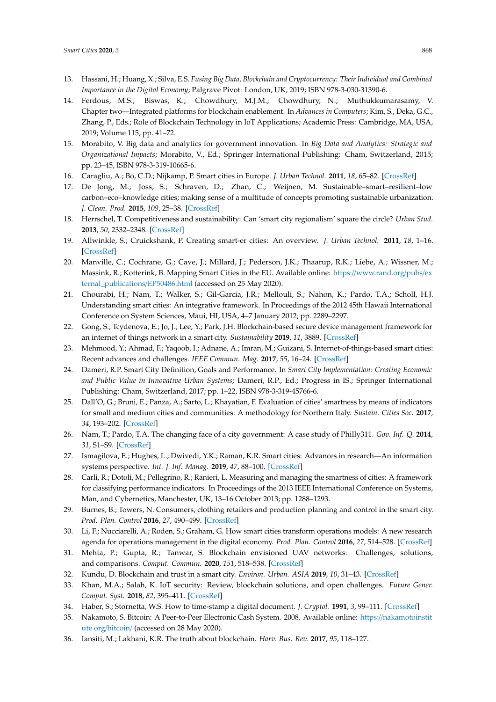- <span id="page-15-0"></span>13. Hassani, H.; Huang, X.; Silva, E.S. *Fusing Big Data, Blockchain and Cryptocurrency: Their Individual and Combined Importance in the Digital Economy*; Palgrave Pivot: London, UK, 2019; ISBN 978-3-030-31390-6.
- <span id="page-15-1"></span>14. Ferdous, M.S.; Biswas, K.; Chowdhury, M.J.M.; Chowdhury, N.; Muthukkumarasamy, V. Chapter two—Integrated platforms for blockchain enablement. In *Advances in Computers*; Kim, S., Deka, G.C., Zhang, P., Eds.; Role of Blockchain Technology in IoT Applications; Academic Press: Cambridge, MA, USA, 2019; Volume 115, pp. 41–72.
- <span id="page-15-2"></span>15. Morabito, V. Big data and analytics for government innovation. In *Big Data and Analytics: Strategic and Organizational Impacts*; Morabito, V., Ed.; Springer International Publishing: Cham, Switzerland, 2015; pp. 23–45, ISBN 978-3-319-10665-6.
- <span id="page-15-3"></span>16. Caragliu, A.; Bo, C.D.; Nijkamp, P. Smart cities in Europe. *J. Urban Technol.* **2011**, *18*, 65–82. [\[CrossRef\]](http://dx.doi.org/10.1080/10630732.2011.601117)
- <span id="page-15-4"></span>17. De Jong, M.; Joss, S.; Schraven, D.; Zhan, C.; Weijnen, M. Sustainable–smart–resilient–low carbon–eco–knowledge cities; making sense of a multitude of concepts promoting sustainable urbanization. *J. Clean. Prod.* **2015**, *109*, 25–38. [\[CrossRef\]](http://dx.doi.org/10.1016/j.jclepro.2015.02.004)
- <span id="page-15-13"></span>18. Herrschel, T. Competitiveness and sustainability: Can 'smart city regionalism' square the circle? *Urban Stud.* **2013**, *50*, 2332–2348. [\[CrossRef\]](http://dx.doi.org/10.1177/0042098013478240)
- <span id="page-15-5"></span>19. Allwinkle, S.; Cruickshank, P. Creating smart-er cities: An overview. *J. Urban Technol.* **2011**, *18*, 1–16. [\[CrossRef\]](http://dx.doi.org/10.1080/10630732.2011.601103)
- <span id="page-15-6"></span>20. Manville, C.; Cochrane, G.; Cave, J.; Millard, J.; Pederson, J.K.; Thaarup, R.K.; Liebe, A.; Wissner, M.; Massink, R.; Kotterink, B. Mapping Smart Cities in the EU. Available online: https://[www.rand.org](https://www.rand.org/pubs/external_publications/EP50486.html)/pubs/ex [ternal\\_publications](https://www.rand.org/pubs/external_publications/EP50486.html)/EP50486.html (accessed on 25 May 2020).
- <span id="page-15-7"></span>21. Chourabi, H.; Nam, T.; Walker, S.; Gil-Garcia, J.R.; Mellouli, S.; Nahon, K.; Pardo, T.A.; Scholl, H.J. Understanding smart cities: An integrative framework. In Proceedings of the 2012 45th Hawaii International Conference on System Sciences, Maui, HI, USA, 4–7 January 2012; pp. 2289–2297.
- <span id="page-15-8"></span>22. Gong, S.; Tcydenova, E.; Jo, J.; Lee, Y.; Park, J.H. Blockchain-based secure device management framework for an internet of things network in a smart city. *Sustainability* **2019**, *11*, 3889. [\[CrossRef\]](http://dx.doi.org/10.3390/su11143889)
- <span id="page-15-9"></span>23. Mehmood, Y.; Ahmad, F.; Yaqoob, I.; Adnane, A.; Imran, M.; Guizani, S. Internet-of-things-based smart cities: Recent advances and challenges. *IEEE Commun. Mag.* **2017**, *55*, 16–24. [\[CrossRef\]](http://dx.doi.org/10.1109/MCOM.2017.1600514)
- 24. Dameri, R.P. Smart City Definition, Goals and Performance. In *Smart City Implementation: Creating Economic and Public Value in Innovative Urban Systems*; Dameri, R.P., Ed.; Progress in IS.; Springer International Publishing: Cham, Switzerland, 2017; pp. 1–22, ISBN 978-3-319-45766-6.
- <span id="page-15-10"></span>25. Dall'O, G.; Bruni, E.; Panza, A.; Sarto, L.; Khayatian, F. Evaluation of cities' smartness by means of indicators for small and medium cities and communities: A methodology for Northern Italy. *Sustain. Cities Soc.* **2017**, *34*, 193–202. [\[CrossRef\]](http://dx.doi.org/10.1016/j.scs.2017.06.021)
- <span id="page-15-11"></span>26. Nam, T.; Pardo, T.A. The changing face of a city government: A case study of Philly311. *Gov. Inf. Q.* **2014**, *31*, S1–S9. [\[CrossRef\]](http://dx.doi.org/10.1016/j.giq.2014.01.002)
- <span id="page-15-18"></span>27. Ismagilova, E.; Hughes, L.; Dwivedi, Y.K.; Raman, K.R. Smart cities: Advances in research—An information systems perspective. *Int. J. Inf. Manag.* **2019**, *47*, 88–100. [\[CrossRef\]](http://dx.doi.org/10.1016/j.ijinfomgt.2019.01.004)
- <span id="page-15-12"></span>28. Carli, R.; Dotoli, M.; Pellegrino, R.; Ranieri, L. Measuring and managing the smartness of cities: A framework for classifying performance indicators. In Proceedings of the 2013 IEEE International Conference on Systems, Man, and Cybernetics, Manchester, UK, 13–16 October 2013; pp. 1288–1293.
- <span id="page-15-14"></span>29. Burnes, B.; Towers, N. Consumers, clothing retailers and production planning and control in the smart city. *Prod. Plan. Control* **2016**, *27*, 490–499. [\[CrossRef\]](http://dx.doi.org/10.1080/09537287.2016.1147097)
- <span id="page-15-15"></span>30. Li, F.; Nucciarelli, A.; Roden, S.; Graham, G. How smart cities transform operations models: A new research agenda for operations management in the digital economy. *Prod. Plan. Control* **2016**, *27*, 514–528. [\[CrossRef\]](http://dx.doi.org/10.1080/09537287.2016.1147096)
- <span id="page-15-16"></span>31. Mehta, P.; Gupta, R.; Tanwar, S. Blockchain envisioned UAV networks: Challenges, solutions, and comparisons. *Comput. Commun.* **2020**, *151*, 518–538. [\[CrossRef\]](http://dx.doi.org/10.1016/j.comcom.2020.01.023)
- <span id="page-15-22"></span>32. Kundu, D. Blockchain and trust in a smart city. *Environ. Urban. ASIA* **2019**, *10*, 31–43. [\[CrossRef\]](http://dx.doi.org/10.1177/0975425319832392)
- <span id="page-15-17"></span>33. Khan, M.A.; Salah, K. IoT security: Review, blockchain solutions, and open challenges. *Future Gener. Comput. Syst.* **2018**, *82*, 395–411. [\[CrossRef\]](http://dx.doi.org/10.1016/j.future.2017.11.022)
- <span id="page-15-19"></span>34. Haber, S.; Stornetta, W.S. How to time-stamp a digital document. *J. Cryptol.* **1991**, *3*, 99–111. [\[CrossRef\]](http://dx.doi.org/10.1007/BF00196791)
- <span id="page-15-20"></span>35. Nakamoto, S. Bitcoin: A Peer-to-Peer Electronic Cash System. 2008. Available online: https://[nakamotoinstit](https://nakamotoinstitute.org/bitcoin/) [ute.org](https://nakamotoinstitute.org/bitcoin/)/bitcoin/ (accessed on 28 May 2020).
- <span id="page-15-21"></span>36. Iansiti, M.; Lakhani, K.R. The truth about blockchain. *Harv. Bus. Rev.* **2017**, *95*, 118–127.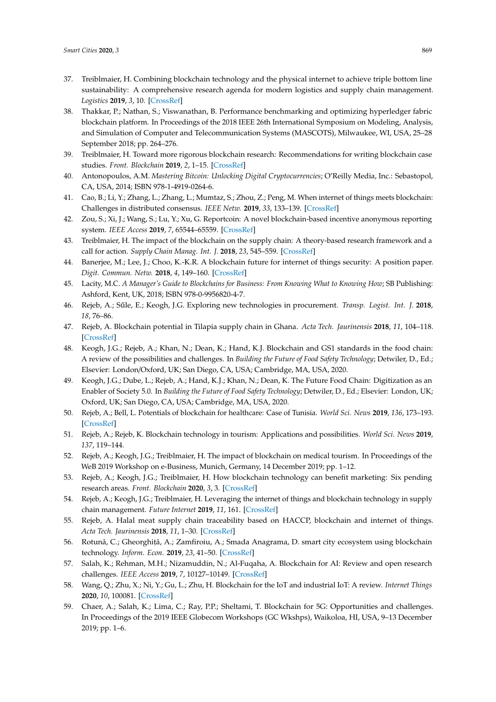- <span id="page-16-0"></span>37. Treiblmaier, H. Combining blockchain technology and the physical internet to achieve triple bottom line sustainability: A comprehensive research agenda for modern logistics and supply chain management. *Logistics* **2019**, *3*, 10. [\[CrossRef\]](http://dx.doi.org/10.3390/logistics3010010)
- <span id="page-16-1"></span>38. Thakkar, P.; Nathan, S.; Viswanathan, B. Performance benchmarking and optimizing hyperledger fabric blockchain platform. In Proceedings of the 2018 IEEE 26th International Symposium on Modeling, Analysis, and Simulation of Computer and Telecommunication Systems (MASCOTS), Milwaukee, WI, USA, 25–28 September 2018; pp. 264–276.
- <span id="page-16-2"></span>39. Treiblmaier, H. Toward more rigorous blockchain research: Recommendations for writing blockchain case studies. *Front. Blockchain* **2019**, *2*, 1–15. [\[CrossRef\]](http://dx.doi.org/10.3389/fbloc.2019.00003)
- <span id="page-16-3"></span>40. Antonopoulos, A.M. *Mastering Bitcoin: Unlocking Digital Cryptocurrencies*; O'Reilly Media, Inc.: Sebastopol, CA, USA, 2014; ISBN 978-1-4919-0264-6.
- <span id="page-16-4"></span>41. Cao, B.; Li, Y.; Zhang, L.; Zhang, L.; Mumtaz, S.; Zhou, Z.; Peng, M. When internet of things meets blockchain: Challenges in distributed consensus. *IEEE Netw.* **2019**, *33*, 133–139. [\[CrossRef\]](http://dx.doi.org/10.1109/MNET.2019.1900002)
- <span id="page-16-5"></span>42. Zou, S.; Xi, J.; Wang, S.; Lu, Y.; Xu, G. Reportcoin: A novel blockchain-based incentive anonymous reporting system. *IEEE Access* **2019**, *7*, 65544–65559. [\[CrossRef\]](http://dx.doi.org/10.1109/ACCESS.2019.2915956)
- <span id="page-16-6"></span>43. Treiblmaier, H. The impact of the blockchain on the supply chain: A theory-based research framework and a call for action. *Supply Chain Manag. Int. J.* **2018**, *23*, 545–559. [\[CrossRef\]](http://dx.doi.org/10.1108/SCM-01-2018-0029)
- <span id="page-16-7"></span>44. Banerjee, M.; Lee, J.; Choo, K.-K.R. A blockchain future for internet of things security: A position paper. *Digit. Commun. Netw.* **2018**, *4*, 149–160. [\[CrossRef\]](http://dx.doi.org/10.1016/j.dcan.2017.10.006)
- <span id="page-16-8"></span>45. Lacity, M.C. *A Manager's Guide to Blockchains for Business: From Knowing What to Knowing How*; SB Publishing: Ashford, Kent, UK, 2018; ISBN 978-0-9956820-4-7.
- <span id="page-16-9"></span>46. Rejeb, A.; Sűle, E.; Keogh, J.G. Exploring new technologies in procurement. *Transp. Logist. Int. J.* 2018, *18*, 76–86.
- 47. Rejeb, A. Blockchain potential in Tilapia supply chain in Ghana. *Acta Tech. Jaurinensis* **2018**, *11*, 104–118. [\[CrossRef\]](http://dx.doi.org/10.14513/actatechjaur.v11.n2.462)
- 48. Keogh, J.G.; Rejeb, A.; Khan, N.; Dean, K.; Hand, K.J. Blockchain and GS1 standards in the food chain: A review of the possibilities and challenges. In *Building the Future of Food Safety Technology*; Detwiler, D., Ed.; Elsevier: London/Oxford, UK; San Diego, CA, USA; Cambridge, MA, USA, 2020.
- 49. Keogh, J.G.; Dube, L.; Rejeb, A.; Hand, K.J.; Khan, N.; Dean, K. The Future Food Chain: Digitization as an Enabler of Society 5.0. In *Building the Future of Food Safety Technology*; Detwiler, D., Ed.; Elsevier: London, UK; Oxford, UK; San Diego, CA, USA; Cambridge, MA, USA, 2020.
- 50. Rejeb, A.; Bell, L. Potentials of blockchain for healthcare: Case of Tunisia. *World Sci. News* **2019**, *136*, 173–193. [\[CrossRef\]](http://dx.doi.org/10.2139/ssrn.3475246)
- 51. Rejeb, A.; Rejeb, K. Blockchain technology in tourism: Applications and possibilities. *World Sci. News* **2019**, *137*, 119–144.
- 52. Rejeb, A.; Keogh, J.G.; Treiblmaier, H. The impact of blockchain on medical tourism. In Proceedings of the WeB 2019 Workshop on e-Business, Munich, Germany, 14 December 2019; pp. 1–12.
- 53. Rejeb, A.; Keogh, J.G.; Treiblmaier, H. How blockchain technology can benefit marketing: Six pending research areas. *Front. Blockchain* **2020**, *3*, 3. [\[CrossRef\]](http://dx.doi.org/10.3389/fbloc.2020.00003)
- 54. Rejeb, A.; Keogh, J.G.; Treiblmaier, H. Leveraging the internet of things and blockchain technology in supply chain management. *Future Internet* **2019**, *11*, 161. [\[CrossRef\]](http://dx.doi.org/10.3390/fi11070161)
- <span id="page-16-10"></span>55. Rejeb, A. Halal meat supply chain traceability based on HACCP, blockchain and internet of things. *Acta Tech. Jaurinensis* **2018**, *11*, 1–30. [\[CrossRef\]](http://dx.doi.org/10.14513/actatechjaur.v11.n4.467)
- <span id="page-16-11"></span>56. Rotună, C.; Gheorghit,ă, A.; Zamfiroiu, A.; Smada Anagrama, D. smart city ecosystem using blockchain technology. *Inform. Econ.* **2019**, *23*, 41–50. [\[CrossRef\]](http://dx.doi.org/10.12948/issn14531305/23.4.2019.04)
- <span id="page-16-12"></span>57. Salah, K.; Rehman, M.H.; Nizamuddin, N.; Al-Fuqaha, A. Blockchain for AI: Review and open research challenges. *IEEE Access* **2019**, *7*, 10127–10149. [\[CrossRef\]](http://dx.doi.org/10.1109/ACCESS.2018.2890507)
- <span id="page-16-13"></span>58. Wang, Q.; Zhu, X.; Ni, Y.; Gu, L.; Zhu, H. Blockchain for the IoT and industrial IoT: A review. *Internet Things* **2020**, *10*, 100081. [\[CrossRef\]](http://dx.doi.org/10.1016/j.iot.2019.100081)
- <span id="page-16-14"></span>59. Chaer, A.; Salah, K.; Lima, C.; Ray, P.P.; Sheltami, T. Blockchain for 5G: Opportunities and challenges. In Proceedings of the 2019 IEEE Globecom Workshops (GC Wkshps), Waikoloa, HI, USA, 9–13 December 2019; pp. 1–6.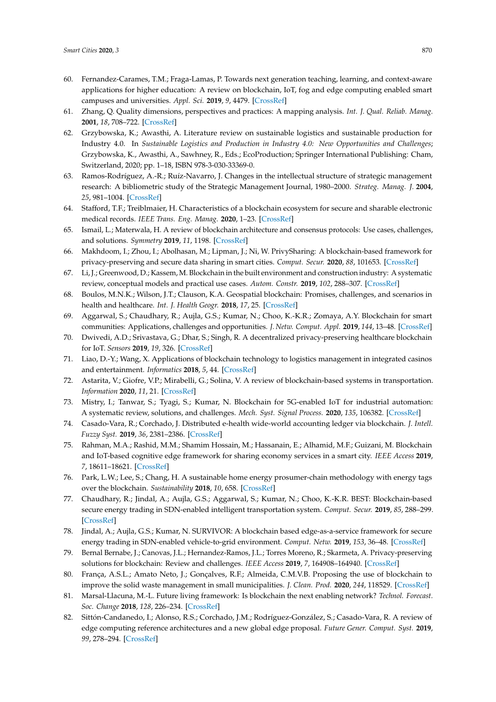- <span id="page-17-0"></span>60. Fernandez-Carames, T.M.; Fraga-Lamas, P. Towards next generation teaching, learning, and context-aware applications for higher education: A review on blockchain, IoT, fog and edge computing enabled smart campuses and universities. *Appl. Sci.* **2019**, *9*, 4479. [\[CrossRef\]](http://dx.doi.org/10.3390/app9214479)
- <span id="page-17-1"></span>61. Zhang, Q. Quality dimensions, perspectives and practices: A mapping analysis. *Int. J. Qual. Reliab. Manag.* **2001**, *18*, 708–722. [\[CrossRef\]](http://dx.doi.org/10.1108/EUM0000000005777)
- <span id="page-17-2"></span>62. Grzybowska, K.; Awasthi, A. Literature review on sustainable logistics and sustainable production for Industry 4.0. In *Sustainable Logistics and Production in Industry 4.0: New Opportunities and Challenges*; Grzybowska, K., Awasthi, A., Sawhney, R., Eds.; EcoProduction; Springer International Publishing: Cham, Switzerland, 2020; pp. 1–18, ISBN 978-3-030-33369-0.
- <span id="page-17-3"></span>63. Ramos-Rodríguez, A.-R.; Ruíz-Navarro, J. Changes in the intellectual structure of strategic management research: A bibliometric study of the Strategic Management Journal, 1980–2000. *Strateg. Manag. J.* **2004**, *25*, 981–1004. [\[CrossRef\]](http://dx.doi.org/10.1002/smj.397)
- <span id="page-17-4"></span>64. Stafford, T.F.; Treiblmaier, H. Characteristics of a blockchain ecosystem for secure and sharable electronic medical records. *IEEE Trans. Eng. Manag.* **2020**, 1–23. [\[CrossRef\]](http://dx.doi.org/10.1109/TEM.2020.2973095)
- <span id="page-17-6"></span>65. Ismail, L.; Materwala, H. A review of blockchain architecture and consensus protocols: Use cases, challenges, and solutions. *Symmetry* **2019**, *11*, 1198. [\[CrossRef\]](http://dx.doi.org/10.3390/sym11101198)
- <span id="page-17-13"></span>66. Makhdoom, I.; Zhou, I.; Abolhasan, M.; Lipman, J.; Ni, W. PrivySharing: A blockchain-based framework for privacy-preserving and secure data sharing in smart cities. *Comput. Secur.* **2020**, *88*, 101653. [\[CrossRef\]](http://dx.doi.org/10.1016/j.cose.2019.101653)
- <span id="page-17-10"></span>67. Li, J.; Greenwood, D.; Kassem, M. Blockchain in the built environment and construction industry: A systematic review, conceptual models and practical use cases. *Autom. Constr.* **2019**, *102*, 288–307. [\[CrossRef\]](http://dx.doi.org/10.1016/j.autcon.2019.02.005)
- <span id="page-17-18"></span>68. Boulos, M.N.K.; Wilson, J.T.; Clauson, K.A. Geospatial blockchain: Promises, challenges, and scenarios in health and healthcare. *Int. J. Health Geogr.* **2018**, *17*, 25. [\[CrossRef\]](http://dx.doi.org/10.1186/s12942-018-0144-x)
- <span id="page-17-7"></span>69. Aggarwal, S.; Chaudhary, R.; Aujla, G.S.; Kumar, N.; Choo, K.-K.R.; Zomaya, A.Y. Blockchain for smart communities: Applications, challenges and opportunities. *J. Netw. Comput. Appl.* **2019**, *144*, 13–48. [\[CrossRef\]](http://dx.doi.org/10.1016/j.jnca.2019.06.018)
- <span id="page-17-5"></span>70. Dwivedi, A.D.; Srivastava, G.; Dhar, S.; Singh, R. A decentralized privacy-preserving healthcare blockchain for IoT. *Sensors* **2019**, *19*, 326. [\[CrossRef\]](http://dx.doi.org/10.3390/s19020326)
- <span id="page-17-8"></span>71. Liao, D.-Y.; Wang, X. Applications of blockchain technology to logistics management in integrated casinos and entertainment. *Informatics* **2018**, *5*, 44. [\[CrossRef\]](http://dx.doi.org/10.3390/informatics5040044)
- <span id="page-17-11"></span>72. Astarita, V.; Giofre, V.P.; Mirabelli, G.; Solina, V. A review of blockchain-based systems in transportation. *Information* **2020**, *11*, 21. [\[CrossRef\]](http://dx.doi.org/10.3390/info11010021)
- <span id="page-17-19"></span>73. Mistry, I.; Tanwar, S.; Tyagi, S.; Kumar, N. Blockchain for 5G-enabled IoT for industrial automation: A systematic review, solutions, and challenges. *Mech. Syst. Signal Process.* **2020**, *135*, 106382. [\[CrossRef\]](http://dx.doi.org/10.1016/j.ymssp.2019.106382)
- <span id="page-17-9"></span>74. Casado-Vara, R.; Corchado, J. Distributed e-health wide-world accounting ledger via blockchain. *J. Intell. Fuzzy Syst.* **2019**, *36*, 2381–2386. [\[CrossRef\]](http://dx.doi.org/10.3233/JIFS-169949)
- <span id="page-17-12"></span>75. Rahman, M.A.; Rashid, M.M.; Shamim Hossain, M.; Hassanain, E.; Alhamid, M.F.; Guizani, M. Blockchain and IoT-based cognitive edge framework for sharing economy services in a smart city. *IEEE Access* **2019**, *7*, 18611–18621. [\[CrossRef\]](http://dx.doi.org/10.1109/ACCESS.2019.2896065)
- <span id="page-17-14"></span>76. Park, L.W.; Lee, S.; Chang, H. A sustainable home energy prosumer-chain methodology with energy tags over the blockchain. *Sustainability* **2018**, *10*, 658. [\[CrossRef\]](http://dx.doi.org/10.3390/su10030658)
- <span id="page-17-21"></span>77. Chaudhary, R.; Jindal, A.; Aujla, G.S.; Aggarwal, S.; Kumar, N.; Choo, K.-K.R. BEST: Blockchain-based secure energy trading in SDN-enabled intelligent transportation system. *Comput. Secur.* **2019**, *85*, 288–299. [\[CrossRef\]](http://dx.doi.org/10.1016/j.cose.2019.05.006)
- <span id="page-17-15"></span>78. Jindal, A.; Aujla, G.S.; Kumar, N. SURVIVOR: A blockchain based edge-as-a-service framework for secure energy trading in SDN-enabled vehicle-to-grid environment. *Comput. Netw.* **2019**, *153*, 36–48. [\[CrossRef\]](http://dx.doi.org/10.1016/j.comnet.2019.02.002)
- <span id="page-17-16"></span>79. Bernal Bernabe, J.; Canovas, J.L.; Hernandez-Ramos, J.L.; Torres Moreno, R.; Skarmeta, A. Privacy-preserving solutions for blockchain: Review and challenges. *IEEE Access* **2019**, *7*, 164908–164940. [\[CrossRef\]](http://dx.doi.org/10.1109/ACCESS.2019.2950872)
- <span id="page-17-22"></span>80. França, A.S.L.; Amato Neto, J.; Gonçalves, R.F.; Almeida, C.M.V.B. Proposing the use of blockchain to improve the solid waste management in small municipalities. *J. Clean. Prod.* **2020**, *244*, 118529. [\[CrossRef\]](http://dx.doi.org/10.1016/j.jclepro.2019.118529)
- <span id="page-17-17"></span>81. Marsal-Llacuna, M.-L. Future living framework: Is blockchain the next enabling network? *Technol. Forecast. Soc. Change* **2018**, *128*, 226–234. [\[CrossRef\]](http://dx.doi.org/10.1016/j.techfore.2017.12.005)
- <span id="page-17-20"></span>82. Sittón-Candanedo, I.; Alonso, R.S.; Corchado, J.M.; Rodríguez-González, S.; Casado-Vara, R. A review of edge computing reference architectures and a new global edge proposal. *Future Gener. Comput. Syst.* **2019**, *99*, 278–294. [\[CrossRef\]](http://dx.doi.org/10.1016/j.future.2019.04.016)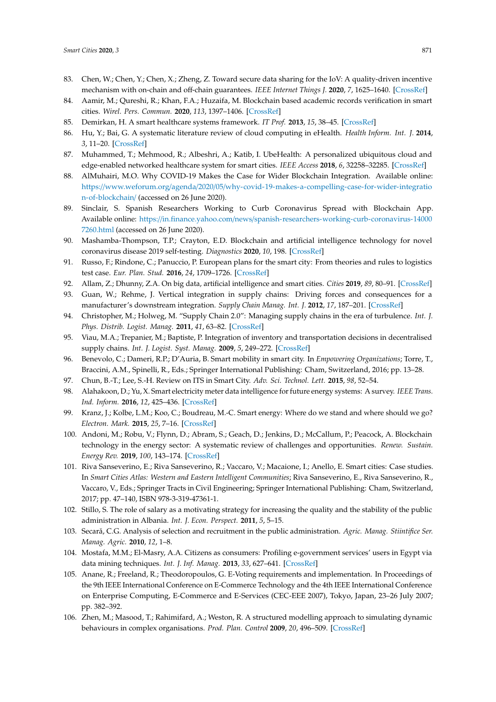- <span id="page-18-0"></span>83. Chen, W.; Chen, Y.; Chen, X.; Zheng, Z. Toward secure data sharing for the IoV: A quality-driven incentive mechanism with on-chain and off-chain guarantees. *IEEE Internet Things J.* **2020**, *7*, 1625–1640. [\[CrossRef\]](http://dx.doi.org/10.1109/JIOT.2019.2946611)
- <span id="page-18-1"></span>84. Aamir, M.; Qureshi, R.; Khan, F.A.; Huzaifa, M. Blockchain based academic records verification in smart cities. *Wirel. Pers. Commun.* **2020**, *113*, 1397–1406. [\[CrossRef\]](http://dx.doi.org/10.1007/s11277-020-07226-0)
- <span id="page-18-2"></span>85. Demirkan, H. A smart healthcare systems framework. *IT Prof.* **2013**, *15*, 38–45. [\[CrossRef\]](http://dx.doi.org/10.1109/MITP.2013.35)
- <span id="page-18-3"></span>86. Hu, Y.; Bai, G. A systematic literature review of cloud computing in eHealth. *Health Inform. Int. J.* **2014**, *3*, 11–20. [\[CrossRef\]](http://dx.doi.org/10.5121/hiij.2014.3402)
- <span id="page-18-4"></span>87. Muhammed, T.; Mehmood, R.; Albeshri, A.; Katib, I. UbeHealth: A personalized ubiquitous cloud and edge-enabled networked healthcare system for smart cities. *IEEE Access* **2018**, *6*, 32258–32285. [\[CrossRef\]](http://dx.doi.org/10.1109/ACCESS.2018.2846609)
- <span id="page-18-5"></span>88. AlMuhairi, M.O. Why COVID-19 Makes the Case for Wider Blockchain Integration. Available online: https://www.weforum.org/agenda/2020/05/[why-covid-19-makes-a-compelling-case-for-wider-integratio](https://www.weforum.org/agenda/2020/05/why-covid-19-makes-a-compelling-case-for-wider-integration-of-blockchain/) [n-of-blockchain](https://www.weforum.org/agenda/2020/05/why-covid-19-makes-a-compelling-case-for-wider-integration-of-blockchain/)/ (accessed on 26 June 2020).
- <span id="page-18-6"></span>89. Sinclair, S. Spanish Researchers Working to Curb Coronavirus Spread with Blockchain App. Available online: https://in.finance.yahoo.com/news/[spanish-researchers-working-curb-coronavirus-14000](https://in.finance.yahoo.com/news/spanish-researchers-working-curb-coronavirus-140007260.html) [7260.html](https://in.finance.yahoo.com/news/spanish-researchers-working-curb-coronavirus-140007260.html) (accessed on 26 June 2020).
- <span id="page-18-7"></span>90. Mashamba-Thompson, T.P.; Crayton, E.D. Blockchain and artificial intelligence technology for novel coronavirus disease 2019 self-testing. *Diagnostics* **2020**, *10*, 198. [\[CrossRef\]](http://dx.doi.org/10.3390/diagnostics10040198)
- <span id="page-18-8"></span>91. Russo, F.; Rindone, C.; Panuccio, P. European plans for the smart city: From theories and rules to logistics test case. *Eur. Plan. Stud.* **2016**, *24*, 1709–1726. [\[CrossRef\]](http://dx.doi.org/10.1080/09654313.2016.1182120)
- <span id="page-18-9"></span>92. Allam, Z.; Dhunny, Z.A. On big data, artificial intelligence and smart cities. *Cities* **2019**, *89*, 80–91. [\[CrossRef\]](http://dx.doi.org/10.1016/j.cities.2019.01.032)
- <span id="page-18-10"></span>93. Guan, W.; Rehme, J. Vertical integration in supply chains: Driving forces and consequences for a manufacturer's downstream integration. *Supply Chain Manag. Int. J.* **2012**, *17*, 187–201. [\[CrossRef\]](http://dx.doi.org/10.1108/13598541211212915)
- <span id="page-18-11"></span>94. Christopher, M.; Holweg, M. "Supply Chain 2.0": Managing supply chains in the era of turbulence. *Int. J. Phys. Distrib. Logist. Manag.* **2011**, *41*, 63–82. [\[CrossRef\]](http://dx.doi.org/10.1108/09600031111101439)
- <span id="page-18-12"></span>95. Viau, M.A.; Trepanier, M.; Baptiste, P. Integration of inventory and transportation decisions in decentralised supply chains. *Int. J. Logist. Syst. Manag.* **2009**, *5*, 249–272. [\[CrossRef\]](http://dx.doi.org/10.1504/IJLSM.2009.022498)
- <span id="page-18-13"></span>96. Benevolo, C.; Dameri, R.P.; D'Auria, B. Smart mobility in smart city. In *Empowering Organizations*; Torre, T., Braccini, A.M., Spinelli, R., Eds.; Springer International Publishing: Cham, Switzerland, 2016; pp. 13–28.
- <span id="page-18-15"></span><span id="page-18-14"></span>97. Chun, B.-T.; Lee, S.-H. Review on ITS in Smart City. *Adv. Sci. Technol. Lett.* **2015**, *98*, 52–54.
- 98. Alahakoon, D.; Yu, X. Smart electricity meter data intelligence for future energy systems: A survey. *IEEE Trans. Ind. Inform.* **2016**, *12*, 425–436. [\[CrossRef\]](http://dx.doi.org/10.1109/TII.2015.2414355)
- <span id="page-18-16"></span>99. Kranz, J.; Kolbe, L.M.; Koo, C.; Boudreau, M.-C. Smart energy: Where do we stand and where should we go? *Electron. Mark.* **2015**, *25*, 7–16. [\[CrossRef\]](http://dx.doi.org/10.1007/s12525-015-0180-3)
- <span id="page-18-17"></span>100. Andoni, M.; Robu, V.; Flynn, D.; Abram, S.; Geach, D.; Jenkins, D.; McCallum, P.; Peacock, A. Blockchain technology in the energy sector: A systematic review of challenges and opportunities. *Renew. Sustain. Energy Rev.* **2019**, *100*, 143–174. [\[CrossRef\]](http://dx.doi.org/10.1016/j.rser.2018.10.014)
- <span id="page-18-18"></span>101. Riva Sanseverino, E.; Riva Sanseverino, R.; Vaccaro, V.; Macaione, I.; Anello, E. Smart cities: Case studies. In *Smart Cities Atlas: Western and Eastern Intelligent Communities*; Riva Sanseverino, E., Riva Sanseverino, R., Vaccaro, V., Eds.; Springer Tracts in Civil Engineering; Springer International Publishing: Cham, Switzerland, 2017; pp. 47–140, ISBN 978-3-319-47361-1.
- <span id="page-18-19"></span>102. Stillo, S. The role of salary as a motivating strategy for increasing the quality and the stability of the public administration in Albania. *Int. J. Econ. Perspect.* **2011**, *5*, 5–15.
- <span id="page-18-20"></span>103. Secară, C.G. Analysis of selection and recruitment in the public administration. *Agric. Manag. Stiintifice Ser. Manag. Agric.* **2010**, *12*, 1–8.
- <span id="page-18-21"></span>104. Mostafa, M.M.; El-Masry, A.A. Citizens as consumers: Profiling e-government services' users in Egypt via data mining techniques. *Int. J. Inf. Manag.* **2013**, *33*, 627–641. [\[CrossRef\]](http://dx.doi.org/10.1016/j.ijinfomgt.2013.03.007)
- <span id="page-18-22"></span>105. Anane, R.; Freeland, R.; Theodoropoulos, G. E-Voting requirements and implementation. In Proceedings of the 9th IEEE International Conference on E-Commerce Technology and the 4th IEEE International Conference on Enterprise Computing, E-Commerce and E-Services (CEC-EEE 2007), Tokyo, Japan, 23–26 July 2007; pp. 382–392.
- <span id="page-18-23"></span>106. Zhen, M.; Masood, T.; Rahimifard, A.; Weston, R. A structured modelling approach to simulating dynamic behaviours in complex organisations. *Prod. Plan. Control* **2009**, *20*, 496–509. [\[CrossRef\]](http://dx.doi.org/10.1080/09537280902938597)